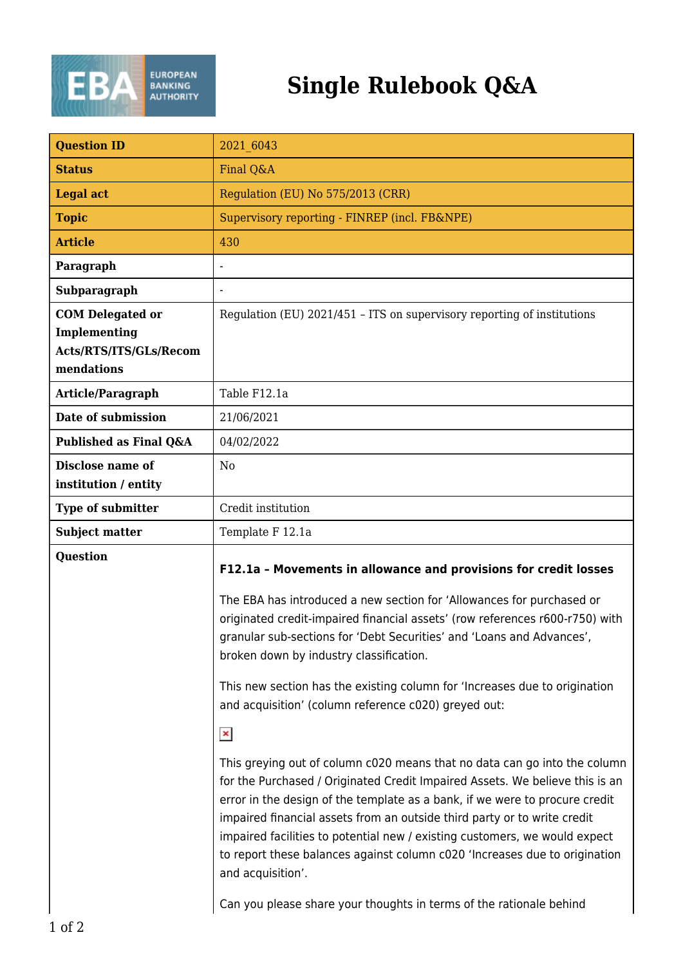

## **Single Rulebook Q&A**

| <b>Question ID</b>                                                              | 2021 6043                                                                                                                                                                                                                                                                                                                                                                                                                                                                                             |
|---------------------------------------------------------------------------------|-------------------------------------------------------------------------------------------------------------------------------------------------------------------------------------------------------------------------------------------------------------------------------------------------------------------------------------------------------------------------------------------------------------------------------------------------------------------------------------------------------|
| <b>Status</b>                                                                   | Final O&A                                                                                                                                                                                                                                                                                                                                                                                                                                                                                             |
| <b>Legal act</b>                                                                | Regulation (EU) No 575/2013 (CRR)                                                                                                                                                                                                                                                                                                                                                                                                                                                                     |
| <b>Topic</b>                                                                    | Supervisory reporting - FINREP (incl. FB&NPE)                                                                                                                                                                                                                                                                                                                                                                                                                                                         |
| <b>Article</b>                                                                  | 430                                                                                                                                                                                                                                                                                                                                                                                                                                                                                                   |
| Paragraph                                                                       |                                                                                                                                                                                                                                                                                                                                                                                                                                                                                                       |
| Subparagraph                                                                    |                                                                                                                                                                                                                                                                                                                                                                                                                                                                                                       |
| <b>COM Delegated or</b><br>Implementing<br>Acts/RTS/ITS/GLs/Recom<br>mendations | Regulation (EU) 2021/451 - ITS on supervisory reporting of institutions                                                                                                                                                                                                                                                                                                                                                                                                                               |
| Article/Paragraph                                                               | Table F12.1a                                                                                                                                                                                                                                                                                                                                                                                                                                                                                          |
| Date of submission                                                              | 21/06/2021                                                                                                                                                                                                                                                                                                                                                                                                                                                                                            |
| Published as Final Q&A                                                          | 04/02/2022                                                                                                                                                                                                                                                                                                                                                                                                                                                                                            |
| <b>Disclose name of</b><br>institution / entity                                 | N <sub>0</sub>                                                                                                                                                                                                                                                                                                                                                                                                                                                                                        |
| Type of submitter                                                               | Credit institution                                                                                                                                                                                                                                                                                                                                                                                                                                                                                    |
| <b>Subject matter</b>                                                           | Template F 12.1a                                                                                                                                                                                                                                                                                                                                                                                                                                                                                      |
| <b>Question</b>                                                                 | F12.1a - Movements in allowance and provisions for credit losses                                                                                                                                                                                                                                                                                                                                                                                                                                      |
|                                                                                 | The EBA has introduced a new section for 'Allowances for purchased or<br>originated credit-impaired financial assets' (row references r600-r750) with<br>granular sub-sections for 'Debt Securities' and 'Loans and Advances',<br>broken down by industry classification.                                                                                                                                                                                                                             |
|                                                                                 | This new section has the existing column for 'Increases due to origination<br>and acquisition' (column reference c020) greyed out:                                                                                                                                                                                                                                                                                                                                                                    |
|                                                                                 | $\pmb{\times}$                                                                                                                                                                                                                                                                                                                                                                                                                                                                                        |
|                                                                                 | This greying out of column c020 means that no data can go into the column<br>for the Purchased / Originated Credit Impaired Assets. We believe this is an<br>error in the design of the template as a bank, if we were to procure credit<br>impaired financial assets from an outside third party or to write credit<br>impaired facilities to potential new / existing customers, we would expect<br>to report these balances against column c020 'Increases due to origination<br>and acquisition'. |
|                                                                                 | Can you please share your thoughts in terms of the rationale behind                                                                                                                                                                                                                                                                                                                                                                                                                                   |